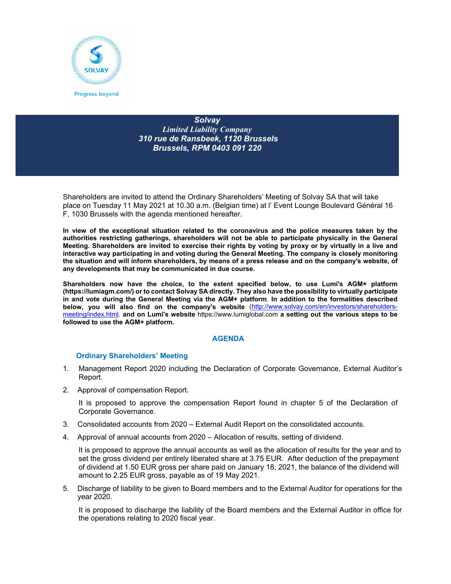

*Solvay Limited Liability Company 310 rue de Ransbeek, 1120 Brussels Brussels, RPM 0403 091 220* 

Shareholders are invited to attend the Ordinary Shareholders' Meeting of Solvay SA that will take place on Tuesday 11 May 2021 at 10.30 a.m. (Belgian time) at l' Event Lounge Boulevard Général 16 F, 1030 Brussels with the agenda mentioned hereafter.

**In view of the exceptional situation related to the coronavirus and the police measures taken by the authorities restricting gatherings, shareholders will not be able to participate physically in the General Meeting. Shareholders are invited to exercise their rights by voting by proxy or by virtually in a live and interactive way participating in and voting during the General Meeting. The company is closely monitoring the situation and will inform shareholders, by means of a press release and on the company's website, of any developments that may be communicated in due course.** 

**Shareholders now have the choice, to the extent specified below, to use Lumi's AGM+ platform (https://lumiagm.com/) or to contact Solvay SA directly. They also have the possibility to virtually participate in and vote during the General Meeting via the AGM+ platform**. **In addition to the formalities described below, you will also find on the company's website** (http://www.solvay.com/en/investors/shareholdersmeeting/index.html. **and on Lumi's website** https://www.lumiglobal.com **a setting out the various steps to be followed to use the AGM+ platform.**

# **AGENDA**

# **Ordinary Shareholders' Meeting**

- 1. Management Report 2020 including the Declaration of Corporate Governance, External Auditor's Report.
- 2. Approval of compensation Report.

It is proposed to approve the compensation Report found in chapter 5 of the Declaration of Corporate Governance.

- 3. Consolidated accounts from 2020 External Audit Report on the consolidated accounts.
- 4. Approval of annual accounts from 2020 Allocation of results, setting of dividend.

It is proposed to approve the annual accounts as well as the allocation of results for the year and to set the gross dividend per entirely liberated share at 3.75 EUR. After deduction of the prepayment of dividend at 1.50 EUR gross per share paid on January 18, 2021, the balance of the dividend will amount to 2.25 EUR gross, payable as of 19 May 2021.

5. Discharge of liability to be given to Board members and to the External Auditor for operations for the year 2020.

It is proposed to discharge the liability of the Board members and the External Auditor in office for the operations relating to 2020 fiscal year.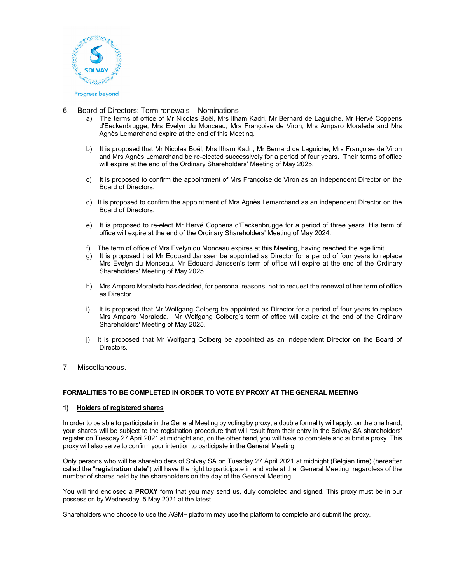

- 6. Board of Directors: Term renewals Nominations
	- a) The terms of office of Mr Nicolas Boël, Mrs Ilham Kadri, Mr Bernard de Laguiche, Mr Hervé Coppens d'Eeckenbrugge, Mrs Evelyn du Monceau, Mrs Françoise de Viron, Mrs Amparo Moraleda and Mrs Agnès Lemarchand expire at the end of this Meeting.
	- b) It is proposed that Mr Nicolas Boël, Mrs Ilham Kadri, Mr Bernard de Laguiche, Mrs Françoise de Viron and Mrs Agnès Lemarchand be re-elected successively for a period of four years. Their terms of office will expire at the end of the Ordinary Shareholders' Meeting of May 2025.
	- c) It is proposed to confirm the appointment of Mrs Françoise de Viron as an independent Director on the Board of Directors.
	- d) It is proposed to confirm the appointment of Mrs Agnès Lemarchand as an independent Director on the Board of Directors.
	- e) It is proposed to re-elect Mr Hervé Coppens d'Eeckenbrugge for a period of three years. His term of office will expire at the end of the Ordinary Shareholders' Meeting of May 2024.
	- f) The term of office of Mrs Evelyn du Monceau expires at this Meeting, having reached the age limit.
	- g) It is proposed that Mr Edouard Janssen be appointed as Director for a period of four years to replace Mrs Evelyn du Monceau. Mr Edouard Janssen's term of office will expire at the end of the Ordinary Shareholders' Meeting of May 2025.
	- h) Mrs Amparo Moraleda has decided, for personal reasons, not to request the renewal of her term of office as Director.
	- i) It is proposed that Mr Wolfgang Colberg be appointed as Director for a period of four years to replace Mrs Amparo Moraleda. Mr Wolfgang Colberg's term of office will expire at the end of the Ordinary Shareholders' Meeting of May 2025.
	- j) It is proposed that Mr Wolfgang Colberg be appointed as an independent Director on the Board of **Directors**
- 7. Miscellaneous.

## **FORMALITIES TO BE COMPLETED IN ORDER TO VOTE BY PROXY AT THE GENERAL MEETING**

#### **1) Holders of registered shares**

In order to be able to participate in the General Meeting by voting by proxy, a double formality will apply: on the one hand, your shares will be subject to the registration procedure that will result from their entry in the Solvay SA shareholders' register on Tuesday 27 April 2021 at midnight and, on the other hand, you will have to complete and submit a proxy. This proxy will also serve to confirm your intention to participate in the General Meeting.

Only persons who will be shareholders of Solvay SA on Tuesday 27 April 2021 at midnight (Belgian time) (hereafter called the "**registration date**") will have the right to participate in and vote at the General Meeting, regardless of the number of shares held by the shareholders on the day of the General Meeting.

You will find enclosed a **PROXY** form that you may send us, duly completed and signed. This proxy must be in our possession by Wednesday, 5 May 2021 at the latest.

Shareholders who choose to use the AGM+ platform may use the platform to complete and submit the proxy.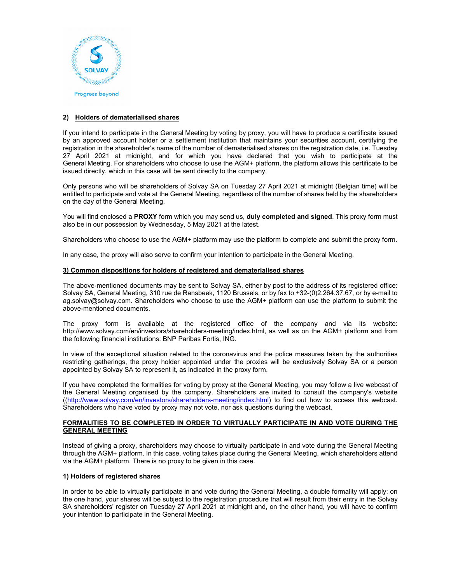

## **2) Holders of dematerialised shares**

If you intend to participate in the General Meeting by voting by proxy, you will have to produce a certificate issued by an approved account holder or a settlement institution that maintains your securities account, certifying the registration in the shareholder's name of the number of dematerialised shares on the registration date, i.e. Tuesday 27 April 2021 at midnight, and for which you have declared that you wish to participate at the General Meeting. For shareholders who choose to use the AGM+ platform, the platform allows this certificate to be issued directly, which in this case will be sent directly to the company.

Only persons who will be shareholders of Solvay SA on Tuesday 27 April 2021 at midnight (Belgian time) will be entitled to participate and vote at the General Meeting, regardless of the number of shares held by the shareholders on the day of the General Meeting.

You will find enclosed a **PROXY** form which you may send us, **duly completed and signed**. This proxy form must also be in our possession by Wednesday, 5 May 2021 at the latest.

Shareholders who choose to use the AGM+ platform may use the platform to complete and submit the proxy form.

In any case, the proxy will also serve to confirm your intention to participate in the General Meeting.

#### **3) Common dispositions for holders of registered and dematerialised shares**

The above-mentioned documents may be sent to Solvay SA, either by post to the address of its registered office: Solvay SA, General Meeting, 310 rue de Ransbeek, 1120 Brussels, or by fax to +32-(0)2.264.37.67, or by e-mail to ag.solvay@solvay.com. Shareholders who choose to use the AGM+ platform can use the platform to submit the above-mentioned documents.

The proxy form is available at the registered office of the company and via its website: http://www.solvay.com/en/investors/shareholders-meeting/index.html, as well as on the AGM+ platform and from the following financial institutions: BNP Paribas Fortis, ING.

In view of the exceptional situation related to the coronavirus and the police measures taken by the authorities restricting gatherings, the proxy holder appointed under the proxies will be exclusively Solvay SA or a person appointed by Solvay SA to represent it, as indicated in the proxy form.

If you have completed the formalities for voting by proxy at the General Meeting, you may follow a live webcast of the General Meeting organised by the company. Shareholders are invited to consult the company's website ((http://www.solvay.com/en/investors/shareholders-meeting/index.html) to find out how to access this webcast. Shareholders who have voted by proxy may not vote, nor ask questions during the webcast.

#### **FORMALITIES TO BE COMPLETED IN ORDER TO VIRTUALLY PARTICIPATE IN AND VOTE DURING THE GENERAL MEETING**

Instead of giving a proxy, shareholders may choose to virtually participate in and vote during the General Meeting through the AGM+ platform. In this case, voting takes place during the General Meeting, which shareholders attend via the AGM+ platform. There is no proxy to be given in this case.

#### **1) Holders of registered shares**

In order to be able to virtually participate in and vote during the General Meeting, a double formality will apply: on the one hand, your shares will be subject to the registration procedure that will result from their entry in the Solvay SA shareholders' register on Tuesday 27 April 2021 at midnight and, on the other hand, you will have to confirm your intention to participate in the General Meeting.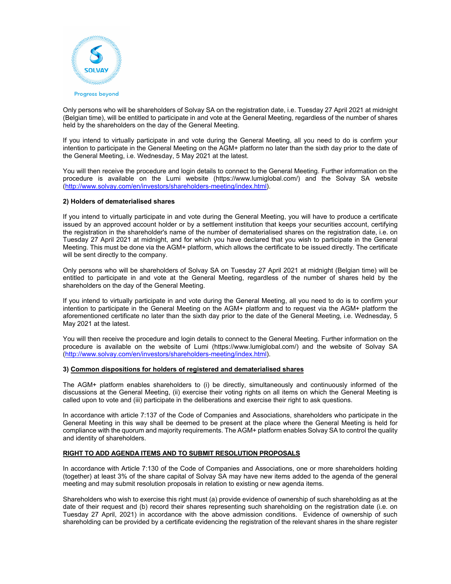

Only persons who will be shareholders of Solvay SA on the registration date, i.e. Tuesday 27 April 2021 at midnight (Belgian time), will be entitled to participate in and vote at the General Meeting, regardless of the number of shares held by the shareholders on the day of the General Meeting.

If you intend to virtually participate in and vote during the General Meeting, all you need to do is confirm your intention to participate in the General Meeting on the AGM+ platform no later than the sixth day prior to the date of the General Meeting, i.e. Wednesday, 5 May 2021 at the latest.

You will then receive the procedure and login details to connect to the General Meeting. Further information on the procedure is available on the Lumi website (https://www.lumiglobal.com/) and the Solvay SA website (http://www.solvay.com/en/investors/shareholders-meeting/index.html).

#### **2) Holders of dematerialised shares**

If you intend to virtually participate in and vote during the General Meeting, you will have to produce a certificate issued by an approved account holder or by a settlement institution that keeps your securities account, certifying the registration in the shareholder's name of the number of dematerialised shares on the registration date, i.e. on Tuesday 27 April 2021 at midnight, and for which you have declared that you wish to participate in the General Meeting. This must be done via the AGM+ platform, which allows the certificate to be issued directly. The certificate will be sent directly to the company.

Only persons who will be shareholders of Solvay SA on Tuesday 27 April 2021 at midnight (Belgian time) will be entitled to participate in and vote at the General Meeting, regardless of the number of shares held by the shareholders on the day of the General Meeting.

If you intend to virtually participate in and vote during the General Meeting, all you need to do is to confirm your intention to participate in the General Meeting on the AGM+ platform and to request via the AGM+ platform the aforementioned certificate no later than the sixth day prior to the date of the General Meeting, i.e. Wednesday, 5 May 2021 at the latest.

You will then receive the procedure and login details to connect to the General Meeting. Further information on the procedure is available on the website of Lumi (https://www.lumiglobal.com/) and the website of Solvay SA (http://www.solvay.com/en/investors/shareholders-meeting/index.html).

## **3) Common dispositions for holders of registered and dematerialised shares**

The AGM+ platform enables shareholders to (i) be directly, simultaneously and continuously informed of the discussions at the General Meeting, (ii) exercise their voting rights on all items on which the General Meeting is called upon to vote and (iii) participate in the deliberations and exercise their right to ask questions.

In accordance with article 7:137 of the Code of Companies and Associations, shareholders who participate in the General Meeting in this way shall be deemed to be present at the place where the General Meeting is held for compliance with the quorum and majority requirements. The AGM+ platform enables Solvay SA to control the quality and identity of shareholders.

## **RIGHT TO ADD AGENDA ITEMS AND TO SUBMIT RESOLUTION PROPOSALS**

 In accordance with Article 7:130 of the Code of Companies and Associations, one or more shareholders holding (together) at least 3% of the share capital of Solvay SA may have new items added to the agenda of the general meeting and may submit resolution proposals in relation to existing or new agenda items.

 Shareholders who wish to exercise this right must (a) provide evidence of ownership of such shareholding as at the date of their request and (b) record their shares representing such shareholding on the registration date (i.e. on Tuesday 27 April, 2021) in accordance with the above admission conditions. Evidence of ownership of such shareholding can be provided by a certificate evidencing the registration of the relevant shares in the share register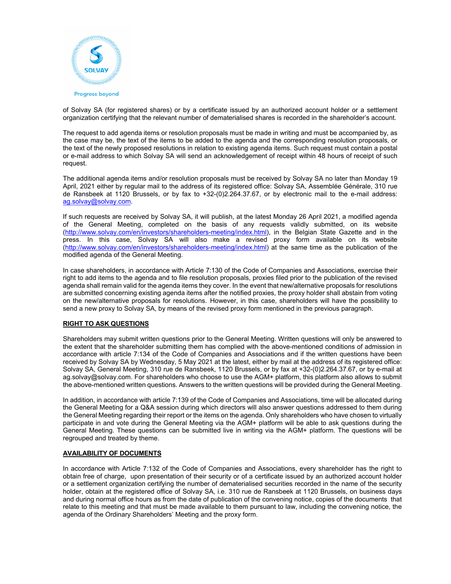

of Solvay SA (for registered shares) or by a certificate issued by an authorized account holder or a settlement organization certifying that the relevant number of dematerialised shares is recorded in the shareholder's account.

 The request to add agenda items or resolution proposals must be made in writing and must be accompanied by, as the case may be, the text of the items to be added to the agenda and the corresponding resolution proposals, or the text of the newly proposed resolutions in relation to existing agenda items. Such request must contain a postal or e-mail address to which Solvay SA will send an acknowledgement of receipt within 48 hours of receipt of such request.

 The additional agenda items and/or resolution proposals must be received by Solvay SA no later than Monday 19 April, 2021 either by regular mail to the address of its registered office: Solvay SA, Assemblée Générale, 310 rue de Ransbeek at 1120 Brussels, or by fax to +32-(0)2.264.37.67, or by electronic mail to the e-mail address: ag.solvay@solvay.com.

If such requests are received by Solvay SA, it will publish, at the latest Monday 26 April 2021, a modified agenda of the General Meeting, completed on the basis of any requests validly submitted, on its website (http://www.solvay.com/en/investors/shareholders-meeting/index.html), in the Belgian State Gazette and in the press. In this case, Solvay SA will also make a revised proxy form available on its website (http://www.solvay.com/en/investors/shareholders-meeting/index.html) at the same time as the publication of the modified agenda of the General Meeting.

 In case shareholders, in accordance with Article 7:130 of the Code of Companies and Associations, exercise their right to add items to the agenda and to file resolution proposals, proxies filed prior to the publication of the revised agenda shall remain valid for the agenda items they cover. In the event that new/alternative proposals for resolutions are submitted concerning existing agenda items after the notified proxies, the proxy holder shall abstain from voting on the new/alternative proposals for resolutions. However, in this case, shareholders will have the possibility to send a new proxy to Solvay SA, by means of the revised proxy form mentioned in the previous paragraph.

## **RIGHT TO ASK QUESTIONS**

 Shareholders may submit written questions prior to the General Meeting. Written questions will only be answered to the extent that the shareholder submitting them has complied with the above-mentioned conditions of admission in accordance with article 7:134 of the Code of Companies and Associations and if the written questions have been received by Solvay SA by Wednesday, 5 May 2021 at the latest, either by mail at the address of its registered office: Solvay SA, General Meeting, 310 rue de Ransbeek, 1120 Brussels, or by fax at +32-(0)2.264.37.67, or by e-mail at ag.solvay@solvay.com. For shareholders who choose to use the AGM+ platform, this platform also allows to submit the above-mentioned written questions. Answers to the written questions will be provided during the General Meeting.

 In addition, in accordance with article 7:139 of the Code of Companies and Associations, time will be allocated during the General Meeting for a Q&A session during which directors will also answer questions addressed to them during the General Meeting regarding their report or the items on the agenda. Only shareholders who have chosen to virtually participate in and vote during the General Meeting via the AGM+ platform will be able to ask questions during the General Meeting. These questions can be submitted live in writing via the AGM+ platform. The questions will be regrouped and treated by theme.

## **AVAILABILITY OF DOCUMENTS**

 In accordance with Article 7:132 of the Code of Companies and Associations, every shareholder has the right to obtain free of charge, upon presentation of their security or of a certificate issued by an authorized account holder or a settlement organization certifying the number of dematerialised securities recorded in the name of the security holder, obtain at the registered office of Solvay SA, i.e. 310 rue de Ransbeek at 1120 Brussels, on business days and during normal office hours as from the date of publication of the convening notice, copies of the documents that relate to this meeting and that must be made available to them pursuant to law, including the convening notice, the agenda of the Ordinary Shareholders' Meeting and the proxy form.